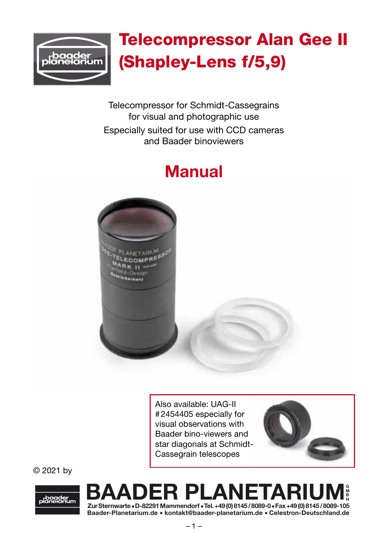

# Telecompressor Alan Gee II (Shapley-Lens f/5,9)

Telecompressor for Schmidt-Cassegrains for visual and photographic use Especially suited for use with CCD cameras and Baader binoviewers

# Manual



Also available: UAG-II #2454405 especially for visual observations with Baader bino-viewers and star diagonals at Schmidt-Cassegrain telescopes



© 2021 by



#### BAADER PLANETARIUM G M B H

Baader-Planetarium.de • kontakt@baader-planetarium.de • Celestron-Deutschland.de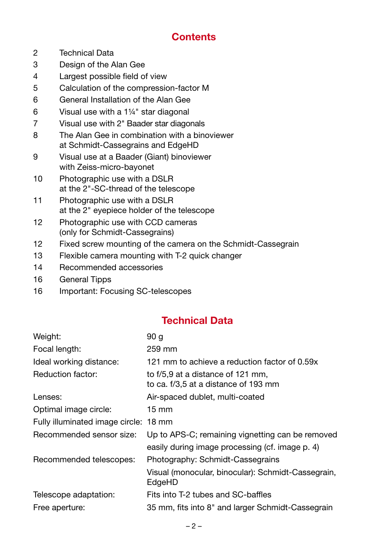# **Contents**

- 2 Technical Data
- 3 Design of the Alan Gee
- 4 Largest possible field of view
- 5 Calculation of the compression-factor M
- 6 General Installation of the Alan Gee
- 6 Visual use with a 1¼" star diagonal
- 7 Visual use with 2" Baader star diagonals
- 8 The Alan Gee in combination with a binoviewer at Schmidt-Cassegrains and EdgeHD
- 9 Visual use at a Baader (Giant) binoviewer with Zeiss-micro-bayonet
- 10 Photographic use with a DSLR at the 2"-SC-thread of the telescope
- 11 Photographic use with a DSLR at the 2" eyepiece holder of the telescope
- 12 Photographic use with CCD cameras (only for Schmidt-Cassegrains)
- 12 Fixed screw mounting of the camera on the Schmidt-Cassegrain
- 13 Flexible camera mounting with T-2 quick changer
- 14 Recommended accessories
- 16 General Tipps
- 16 Important: Focusing SC-telescopes

## Technical Data

| Weight:                               | 90 g                                                                      |
|---------------------------------------|---------------------------------------------------------------------------|
| Focal length:                         | 259 mm                                                                    |
| Ideal working distance:               | 121 mm to achieve a reduction factor of 0.59x                             |
| Reduction factor:                     | to f/5,9 at a distance of 121 mm,<br>to ca. f/3,5 at a distance of 193 mm |
| Lenses:                               | Air-spaced dublet, multi-coated                                           |
| Optimal image circle:                 | $15 \text{ mm}$                                                           |
| Fully illuminated image circle: 18 mm |                                                                           |
| Recommended sensor size:              | Up to APS-C; remaining vignetting can be removed                          |
|                                       | easily during image processing (cf. image p. 4)                           |
| Recommended telescopes:               | Photography: Schmidt-Cassegrains                                          |
|                                       | Visual (monocular, binocular): Schmidt-Cassegrain,<br>EdgeHD              |
| Telescope adaptation:                 | Fits into T-2 tubes and SC-baffles                                        |
| Free aperture:                        | 35 mm, fits into 8" and larger Schmidt-Cassegrain                         |
|                                       |                                                                           |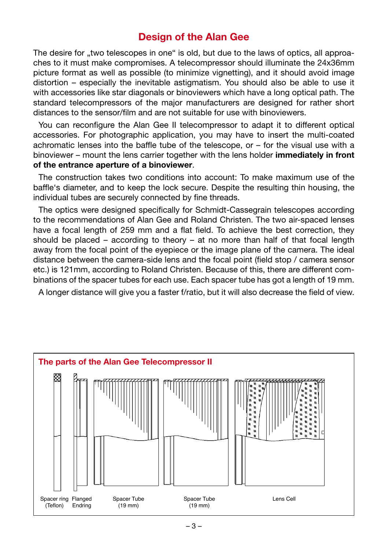#### Design of the Alan Gee

The desire for ..two telescopes in one" is old, but due to the laws of optics, all approaches to it must make compromises. A telecompressor should illuminate the 24x36mm picture format as well as possible (to minimize vignetting), and it should avoid image distortion – especially the inevitable astigmatism. You should also be able to use it with accessories like star diagonals or binoviewers which have a long optical path. The standard telecompressors of the major manufacturers are designed for rather short distances to the sensor/film and are not suitable for use with binoviewers.

You can reconfigure the Alan Gee II telecompressor to adapt it to different optical accessories. For photographic application, you may have to insert the multi-coated achromatic lenses into the baffle tube of the telescope, or – for the visual use with a binoviewer – mount the lens carrier together with the lens holder immediately in front of the entrance aperture of a binoviewer.

The construction takes two conditions into account: To make maximum use of the baffle's diameter, and to keep the lock secure. Despite the resulting thin housing, the individual tubes are securely connected by fine threads.

The optics were designed specifically for Schmidt-Cassegrain telescopes according to the recommendations of Alan Gee and Roland Christen. The two air-spaced lenses have a focal length of 259 mm and a flat field. To achieve the best correction, they should be placed – according to theory – at no more than half of that focal length away from the focal point of the eyepiece or the image plane of the camera. The ideal distance between the camera-side lens and the focal point (field stop / camera sensor etc.) is 121mm, according to Roland Christen. Because of this, there are different combinations of the spacer tubes for each use. Each spacer tube has got a length of 19 mm.

A longer distance will give you a faster f/ratio, but it will also decrease the field of view.

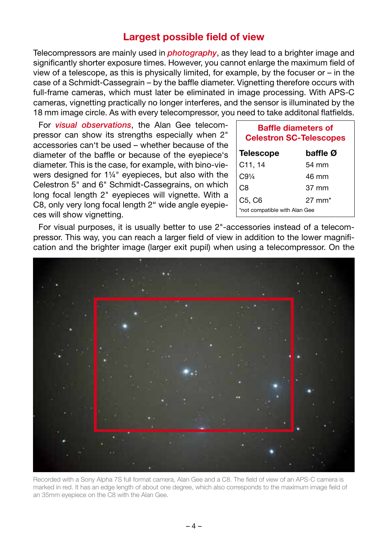#### Largest possible field of view

Telecompressors are mainly used in *photography*, as they lead to a brighter image and significantly shorter exposure times. However, you cannot enlarge the maximum field of view of a telescope, as this is physically limited, for example, by the focuser or – in the case of a Schmidt-Cassegrain – by the baffle diameter. Vignetting therefore occurs with full-frame cameras, which must later be eliminated in image processing. With APS-C cameras, vignetting practically no longer interferes, and the sensor is illuminated by the 18 mm image circle. As with every telecompressor, you need to take additonal flatfields.

For *visual observations*, the Alan Gee telecompressor can show its strengths especially when 2" accessories can't be used – whether because of the diameter of the baffle or because of the eyepiece's diameter. This is the case, for example, with bino-viewers designed for 1¼" eyepieces, but also with the Celestron 5" and 6" Schmidt-Cassegrains, on which long focal length 2" eyepieces will vignette. With a C8, only very long focal length 2" wide angle eyepieces will show vignetting.

| <b>Baffle diameters of</b><br><b>Celestron SC-Telescopes</b> |                   |  |
|--------------------------------------------------------------|-------------------|--|
| <b>Telescope</b>                                             | baffle Ø          |  |
| C11, 14                                                      | 54 mm             |  |
| C.91/4                                                       | $46 \text{ mm}$   |  |
| C8                                                           | $37 \text{ mm}$   |  |
| C5, C6                                                       | $27 \text{ mm}^*$ |  |
| *not compatible with Alan Gee                                |                   |  |

For visual purposes, it is usually better to use 2"-accessories instead of a telecompressor. This way, you can reach a larger field of view in addition to the lower magnification and the brighter image (larger exit pupil) when using a telecompressor. On the



Recorded with a Sony Alpha 7S full format camera, Alan Gee and a C8. The field of view of an APS-C camera is marked in red. It has an edge length of about one degree, which also corresponds to the maximum image field of an 35mm eyepiece on the C8 with the Alan Gee.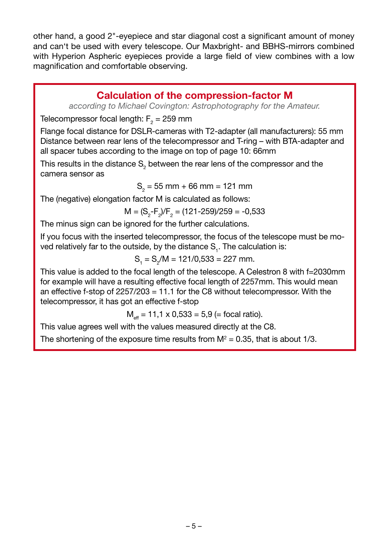other hand, a good 2"-eyepiece and star diagonal cost a significant amount of money and can't be used with every telescope. Our Maxbright- and BBHS-mirrors combined with Hyperion Aspheric eyepieces provide a large field of view combines with a low magnification and comfortable observing.

#### Calculation of the compression-factor M

*according to Michael Covington: Astrophotography for the Amateur.*

Telecompressor focal length:  $\mathsf{F}_\mathsf{2}$  = 259 mm

Flange focal distance for DSLR-cameras with T2-adapter (all manufacturers): 55 mm Distance between rear lens of the telecompressor and T-ring – with BTA-adapter and all spacer tubes according to the image on top of page 10: 66mm

This results in the distance  $\mathsf{S}_2$  between the rear lens of the compressor and the camera sensor as

 $S_{2}$  = 55 mm + 66 mm = 121 mm

The (negative) elongation factor M is calculated as follows:

$$
M = (S_2 - F_2)/F_2 = (121 - 259)/259 = -0,533
$$

The minus sign can be ignored for the further calculations.

If you focus with the inserted telecompressor, the focus of the telescope must be moved relatively far to the outside, by the distance  $\mathsf{S}_{_{1}}.$  The calculation is:

$$
S_1 = S_2/M = 121/0,533 = 227
$$
 mm.

This value is added to the focal length of the telescope. A Celestron 8 with f=2030mm for example will have a resulting effective focal length of 2257mm. This would mean an effective f-stop of 2257/203 = 11.1 for the C8 without telecompressor. With the telecompressor, it has got an effective f-stop

$$
M_{\text{eff}} = 11,1 \times 0,533 = 5,9
$$
 (= focal ratio).

This value agrees well with the values measured directly at the C8.

The shortening of the exposure time results from  $M^2$  = 0.35, that is about 1/3.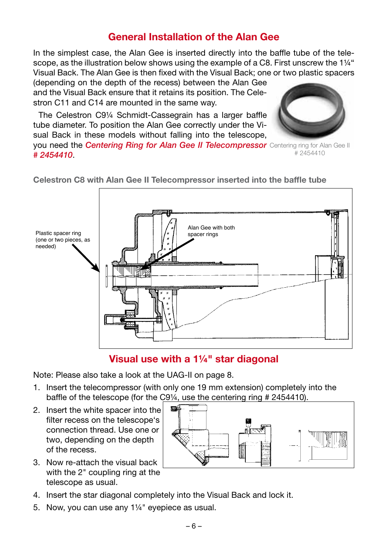# General Installation of the Alan Gee

In the simplest case, the Alan Gee is inserted directly into the baffle tube of the telescope, as the illustration below shows using the example of a C8. First unscrew the 1¼" Visual Back. The Alan Gee is then fixed with the Visual Back; one or two plastic spacers

(depending on the depth of the recess) between the Alan Gee and the Visual Back ensure that it retains its position. The Celestron C11 and C14 are mounted in the same way.

The Celestron C9¼ Schmidt-Cassegrain has a larger baffle tube diameter. To position the Alan Gee correctly under the Visual Back in these models without falling into the telescope,



you need the *Centering Ring for Alan Gee II Telecompressor*  Centering ring for Alan Gee II *# 2454410*. # 2454410



Celestron C8 with Alan Gee II Telecompressor inserted into the baffle tube

## Visual use with a 1¼" star diagonal

Note: Please also take a look at the UAG-II on page 8.

- 1. Insert the telecompressor (with only one 19 mm extension) completely into the baffle of the telescope (for the C9¼, use the centering ring # 2454410).
- 2. Insert the white spacer into the filter recess on the telescope's connection thread. Use one or two, depending on the depth of the recess.
- 3. Now re-attach the visual back with the 2" coupling ring at the telescope as usual.
- 4. Insert the star diagonal completely into the Visual Back and lock it.
- 5. Now, you can use any 1¼" eyepiece as usual.

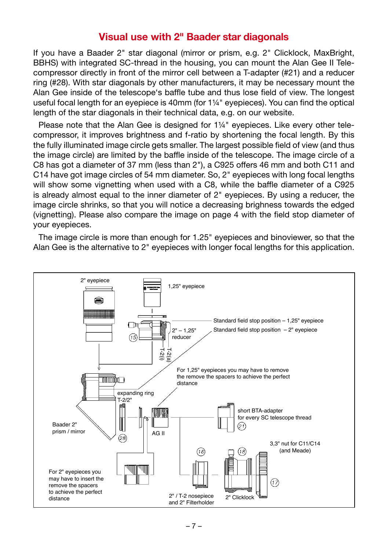#### Visual use with 2" Baader star diagonals

If you have a Baader 2" star diagonal (mirror or prism, e.g. 2" Clicklock, MaxBright, BBHS) with integrated SC-thread in the housing, you can mount the Alan Gee II Telecompressor directly in front of the mirror cell between a T-adapter (#21) and a reducer ring (#28). With star diagonals by other manufacturers, it may be necessary mount the Alan Gee inside of the telescope's baffle tube and thus lose field of view. The longest useful focal length for an eyepiece is 40mm (for  $1\frac{1}{4}$ " eyepieces). You can find the optical length of the star diagonals in their technical data, e.g. on our website.

Please note that the Alan Gee is designed for 1¼" eyepieces. Like every other telecompressor, it improves brightness and f-ratio by shortening the focal length. By this the fully illuminated image circle gets smaller. The largest possible field of view (and thus the image circle) are limited by the baffle inside of the telescope. The image circle of a C8 has got a diameter of 37 mm (less than 2"), a C925 offers 46 mm and both C11 and C14 have got image circles of 54 mm diameter. So, 2" eyepieces with long focal lengths will show some vignetting when used with a C8, while the baffle diameter of a C925 is already almost equal to the inner diameter of 2" eyepieces. By using a reducer, the image circle shrinks, so that you will notice a decreasing brighness towards the edged (vignetting). Please also compare the image on page 4 with the field stop diameter of your eyepieces.

The image circle is more than enough for 1.25" eyepieces and binoviewer, so that the Alan Gee is the alternative to 2" eyepieces with longer focal lengths for this application.

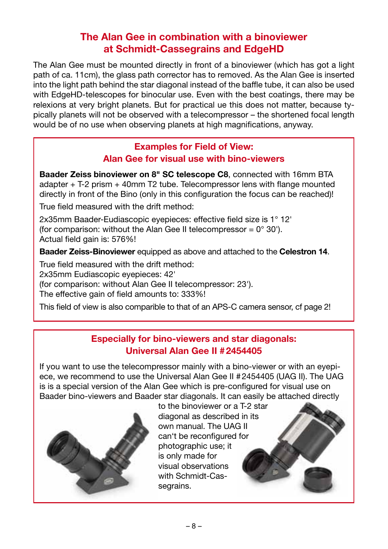# The Alan Gee in combination with a binoviewer at Schmidt-Cassegrains and EdgeHD

The Alan Gee must be mounted directly in front of a binoviewer (which has got a light path of ca. 11cm), the glass path corrector has to removed. As the Alan Gee is inserted into the light path behind the star diagonal instead of the baffle tube, it can also be used with EdgeHD-telescopes for binocular use. Even with the best coatings, there may be relexions at very bright planets. But for practical ue this does not matter, because typically planets will not be observed with a telecompressor – the shortened focal length would be of no use when observing planets at high magnifications, anyway.

#### Examples for Field of View: Alan Gee for visual use with bino-viewers

Baader Zeiss binoviewer on 8" SC telescope C8, connected with 16mm BTA adapter + T-2 prism + 40mm T2 tube. Telecompressor lens with flange mounted directly in front of the Bino (only in this configuration the focus can be reached)!

True field measured with the drift method:

2x35mm Baader-Eudiascopic eyepieces: effective field size is 1° 12' (for comparison: without the Alan Gee II telecompressor =  $0^{\circ}$  30'). Actual field gain is: 576%!

Baader Zeiss-Binoviewer equipped as above and attached to the Celestron 14.

True field measured with the drift method:

2x35mm Eudiascopic eyepieces: 42'

(for comparison: without Alan Gee II telecompressor: 23').

The effective gain of field amounts to: 333%!

This field of view is also comparible to that of an APS-C camera sensor, cf page 2!

#### Especially for bino-viewers and star diagonals: Universal Alan Gee II #2454405

If you want to use the telecompressor mainly with a bino-viewer or with an eyepiece, we recommend to use the Universal Alan Gee II #2454405 (UAG II). The UAG is is a special version of the Alan Gee which is pre-configured for visual use on Baader bino-viewers and Baader star diagonals. It can easily be attached directly



to the binoviewer or a T-2 star diagonal as described in its own manual. The UAG II can't be reconfigured for photographic use; it is only made for visual observations with Schmidt-Cassegrains.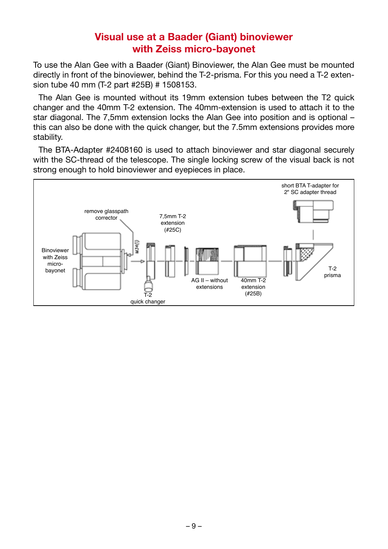# Visual use at a Baader (Giant) binoviewer with Zeiss micro-bayonet

To use the Alan Gee with a Baader (Giant) Binoviewer, the Alan Gee must be mounted directly in front of the binoviewer, behind the T-2-prisma. For this you need a T-2 extension tube 40 mm (T-2 part #25B) # 1508153.

The Alan Gee is mounted without its 19mm extension tubes between the T2 quick changer and the 40mm T-2 extension. The 40mm-extension is used to attach it to the star diagonal. The 7,5mm extension locks the Alan Gee into position and is optional – this can also be done with the quick changer, but the 7.5mm extensions provides more stability.

The BTA-Adapter #2408160 is used to attach binoviewer and star diagonal securely with the SC-thread of the telescope. The single locking screw of the visual back is not strong enough to hold binoviewer and eyepieces in place.

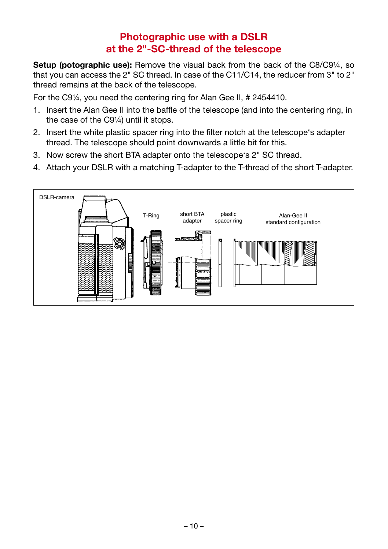# Photographic use with a DSLR at the 2"-SC-thread of the telescope

Setup (potographic use): Remove the visual back from the back of the C8/C9¼, so that you can access the 2" SC thread. In case of the C11/C14, the reducer from 3" to 2" thread remains at the back of the telescope.

For the C9¼, you need the centering ring for Alan Gee II, # 2454410.

- 1. Insert the Alan Gee II into the baffle of the telescope (and into the centering ring, in the case of the C9¼) until it stops.
- 2. Insert the white plastic spacer ring into the filter notch at the telescope's adapter thread. The telescope should point downwards a little bit for this.
- 3. Now screw the short BTA adapter onto the telescope's 2" SC thread.
- 4. Attach your DSLR with a matching T-adapter to the T-thread of the short T-adapter.

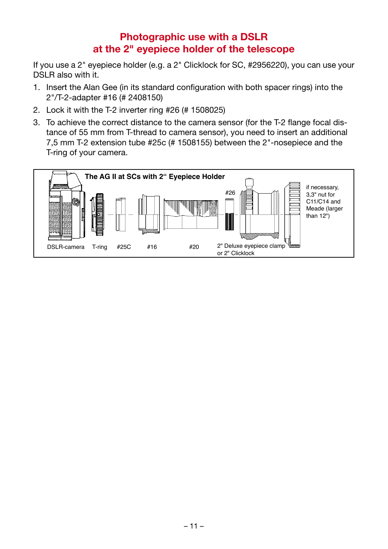# Photographic use with a DSLR at the 2" eyepiece holder of the telescope

If you use a 2" eyepiece holder (e.g. a 2" Clicklock for SC, #2956220), you can use your DSLR also with it.

- 1. Insert the Alan Gee (in its standard configuration with both spacer rings) into the 2"/T-2-adapter #16 (# 2408150)
- 2. Lock it with the T-2 inverter ring #26 (# 1508025)
- 3. To achieve the correct distance to the camera sensor (for the T-2 flange focal distance of 55 mm from T-thread to camera sensor), you need to insert an additional 7,5 mm T-2 extension tube #25c (# 1508155) between the 2"-nosepiece and the T-ring of your camera.

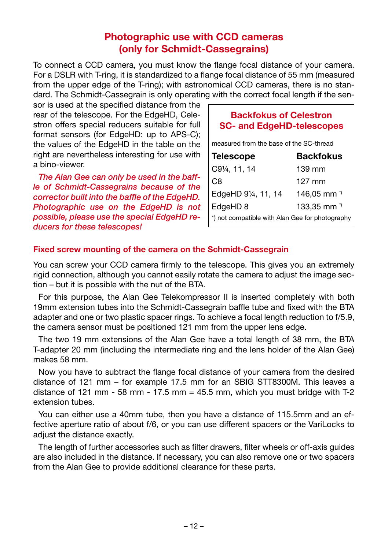# Photographic use with CCD cameras (only for Schmidt-Cassegrains)

To connect a CCD camera, you must know the flange focal distance of your camera. For a DSLR with T-ring, it is standardized to a flange focal distance of 55 mm (measured from the upper edge of the T-ring); with astronomical CCD cameras, there is no standard. The Schmidt-Cassegrain is only operating with the correct focal length if the sen-

sor is used at the specified distance from the rear of the telescope. For the EdgeHD, Celestron offers special reducers suitable for full format sensors (for EdgeHD: up to APS-C): the values of the EdgeHD in the table on the right are nevertheless interesting for use with a bino-viewer.

*The Alan Gee can only be used in the baffle of Schmidt-Cassegrains because of the corrector built into the baffle of the EdgeHD. Photographic use on the EdgeHD is not possible, please use the special EdgeHD reducers for these telescopes!*

#### Backfokus of Celestron SC- and EdgeHD-telescopes

measured from the base of the SC-thread

|                                                   | <b>Backfokus</b>       |
|---------------------------------------------------|------------------------|
| <b>Telescope</b><br>C9¼, 11, 14                   | 139 mm                 |
| $ $ C8                                            | $127$ mm               |
| EdgeHD 91/4, 11, 14                               | 146,05 mm <sup>3</sup> |
| EdgeHD 8                                          | 133,35 mm <sup>3</sup> |
| ) *) not compatible with Alan Gee for photography |                        |

#### Fixed screw mounting of the camera on the Schmidt-Cassegrain

You can screw your CCD camera firmly to the telescope. This gives you an extremely rigid connection, although you cannot easily rotate the camera to adjust the image section – but it is possible with the nut of the BTA.

For this purpose, the Alan Gee Telekompressor II is inserted completely with both 19mm extension tubes into the Schmidt-Cassegrain baffle tube and fixed with the BTA adapter and one or two plastic spacer rings. To achieve a focal length reduction to f/5.9, the camera sensor must be positioned 121 mm from the upper lens edge.

The two 19 mm extensions of the Alan Gee have a total length of 38 mm, the BTA T-adapter 20 mm (including the intermediate ring and the lens holder of the Alan Gee) makes 58 mm.

Now you have to subtract the flange focal distance of your camera from the desired distance of 121 mm – for example 17.5 mm for an SBIG STT8300M. This leaves a distance of 121 mm - 58 mm - 17.5 mm = 45.5 mm, which you must bridge with  $T-2$ extension tubes.

You can either use a 40mm tube, then you have a distance of 115.5mm and an effective aperture ratio of about f/6, or you can use different spacers or the VariLocks to adjust the distance exactly.

The length of further accessories such as filter drawers, filter wheels or off-axis guides are also included in the distance. If necessary, you can also remove one or two spacers from the Alan Gee to provide additional clearance for these parts.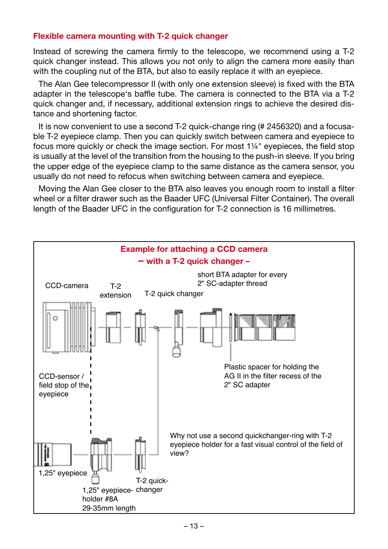#### Flexible camera mounting with T-2 quick changer

Instead of screwing the camera firmly to the telescope, we recommend using a T-2 quick changer instead. This allows you not only to align the camera more easily than with the coupling nut of the BTA, but also to easily replace it with an evepiece.

The Alan Gee telecompressor II (with only one extension sleeve) is fixed with the BTA adapter in the telescope's baffle tube. The camera is connected to the BTA via a T-2 quick changer and, if necessary, additional extension rings to achieve the desired distance and shortening factor.

It is now convenient to use a second T-2 quick-change ring (# 2456320) and a focusable T-2 eyepiece clamp. Then you can quickly switch between camera and eyepiece to focus more quickly or check the image section. For most 1¼" eyepieces, the field stop is usually at the level of the transition from the housing to the push-in sleeve. If you bring the upper edge of the eyepiece clamp to the same distance as the camera sensor, you usually do not need to refocus when switching between camera and eyepiece.

Moving the Alan Gee closer to the BTA also leaves you enough room to install a filter wheel or a filter drawer such as the Baader UFC (Universal Filter Container). The overall length of the Baader UFC in the configuration for T-2 connection is 16 millimetres.

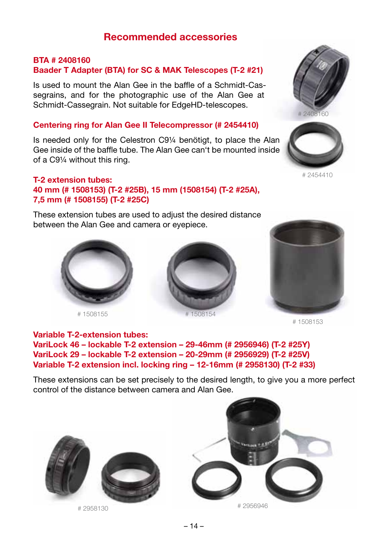#### Recommended accessories

#### BTA # 2408160 Baader T Adapter (BTA) for SC & MAK Telescopes (T-2 #21)

Is used to mount the Alan Gee in the baffle of a Schmidt-Cassegrains, and for the photographic use of the Alan Gee at Schmidt-Cassegrain. Not suitable for EdgeHD-telescopes.

#### Centering ring for Alan Gee II Telecompressor (# 2454410)

Is needed only for the Celestron C9¼ benötigt, to place the Alan Gee inside of the baffle tube. The Alan Gee can't be mounted inside of a C9¼ without this ring.

#### T-2 extension tubes: 40 mm (# 1508153) (T-2 #25B), 15 mm (1508154) (T-2 #25A),

7,5 mm (# 1508155) (T-2 #25C)

These extension tubes are used to adjust the desired distance between the Alan Gee and camera or eyepiece.



# 1508155



1508154





# 2454410



# 1508153

#### Variable T-2-extension tubes:

VariLock 46 – lockable T-2 extension – 29-46mm (# 2956946) (T-2 #25Y) VariLock 29 – lockable T-2 extension – 20-29mm (# 2956929) (T-2 #25V) Variable T-2 extension incl. locking ring – 12-16mm (# 2958130) (T-2 #33)

These extensions can be set precisely to the desired length, to give you a more perfect control of the distance between camera and Alan Gee.





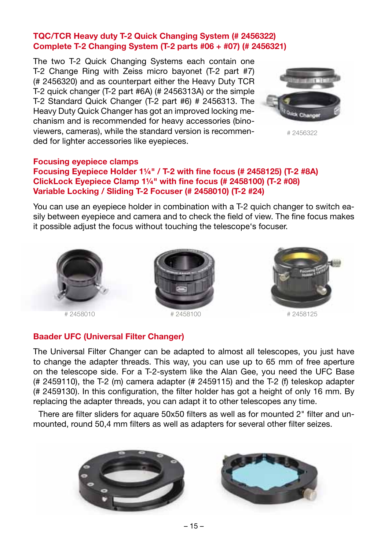#### TQC/TCR Heavy duty T-2 Quick Changing System (# 2456322) Complete T-2 Changing System (T-2 parts #06 + #07) (# 2456321)

The two T-2 Quick Changing Systems each contain one T-2 Change Ring with Zeiss micro bayonet (T-2 part #7) (# 2456320) and as counterpart either the Heavy Duty TCR T-2 quick changer (T-2 part #6A) (# 2456313A) or the simple T-2 Standard Quick Changer (T-2 part #6) # 2456313. The Heavy Duty Quick Changer has got an improved locking mechanism and is recommended for heavy accessories (binoviewers, cameras), while the standard version is recommended for lighter accessories like eyepieces.



# 2456322

#### Focusing eyepiece clamps

#### Focusing Eyepiece Holder 1¼" / T-2 with fine focus (# 2458125) (T-2 #8A) ClickLock Eyepiece Clamp 1¼" with fine focus (# 2458100) (T-2 #08) Variable Locking / Sliding T-2 Focuser (# 2458010) (T-2 #24)

You can use an eyepiece holder in combination with a T-2 quich changer to switch easily between eyepiece and camera and to check the field of view. The fine focus makes it possible adjust the focus without touching the telescope's focuser.







#### Baader UFC (Universal Filter Changer)

The Universal Filter Changer can be adapted to almost all telescopes, you just have to change the adapter threads. This way, you can use up to 65 mm of free aperture on the telescope side. For a T-2-system like the Alan Gee, you need the UFC Base (# 2459110), the T-2 (m) camera adapter (# 2459115) and the T-2 (f) teleskop adapter (# 2459130). In this configuration, the filter holder has got a height of only 16 mm. By replacing the adapter threads, you can adapt it to other telescopes any time.

There are filter sliders for aquare 50x50 filters as well as for mounted 2" filter and unmounted, round 50,4 mm filters as well as adapters for several other filter seizes.